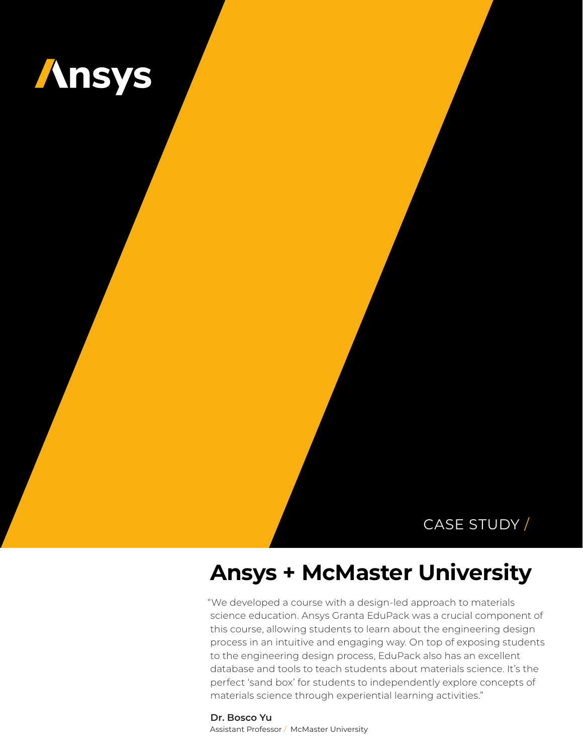

## CASE STUDY /

# **Ansys + McMaster University**

"We developed a course with a design-led approach to materials science education. Ansys Granta EduPack was a crucial component of this course, allowing students to learn about the engineering design process in an intuitive and engaging way. On top of exposing students to the engineering design process, EduPack also has an excellent database and tools to teach students about materials science. It's the perfect 'sand box' for students to independently explore concepts of materials science through experiential learning activities."

**Dr. Bosco Yu** Assistant Professor / McMaster University